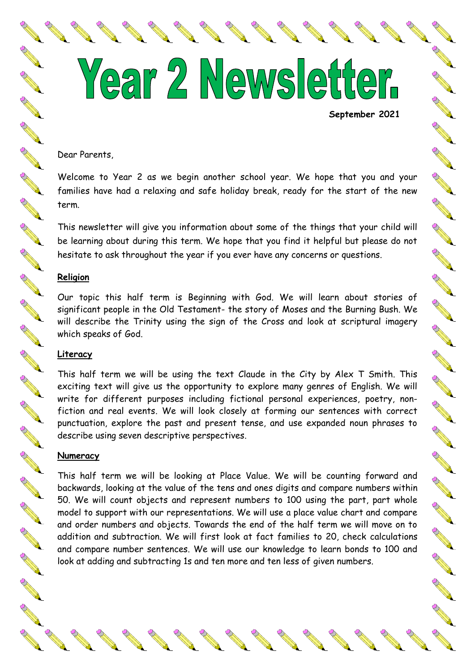# Year 2 Newsletter

**September 2021**

No recent de

**CONTROLLER** 

No recent of

AND ROOM

A Maria

No. of the contract of the contract of the

Control of the

AND ROAD

Contract of

A Maria

**CONTROLL BOOM REPAIR** 

**RANCISCO CONVERSIONER** 

AND TO

A REAL

A A R

A A A

**Rock Contract Contract Contract Contract Contract Contract Contract Contract Contract Contract Contract Contract Contract Contract Contract Contract Contract Contract Contract Contract Contract Contract Contract Contract** 

### Dear Parents,

Welcome to Year 2 as we begin another school year. We hope that you and your families have had a relaxing and safe holiday break, ready for the start of the new term.

This newsletter will give you information about some of the things that your child will be learning about during this term. We hope that you find it helpful but please do not hesitate to ask throughout the year if you ever have any concerns or questions.

## **Religion**

Our topic this half term is Beginning with God. We will learn about stories of significant people in the Old Testament- the story of Moses and the Burning Bush. We will describe the Trinity using the sign of the Cross and look at scriptural imagery which speaks of God.

# **Literacy**

This half term we will be using the text Claude in the City by Alex T Smith. This exciting text will give us the opportunity to explore many genres of English. We will write for different purposes including fictional personal experiences, poetry, nonfiction and real events. We will look closely at forming our sentences with correct punctuation, explore the past and present tense, and use expanded noun phrases to describe using seven descriptive perspectives.

### **Numeracy**

This half term we will be looking at Place Value. We will be counting forward and backwards, looking at the value of the tens and ones digits and compare numbers within 50. We will count objects and represent numbers to 100 using the part, part whole model to support with our representations. We will use a place value chart and compare and order numbers and objects. Towards the end of the half term we will move on to addition and subtraction. We will first look at fact families to 20, check calculations and compare number sentences. We will use our knowledge to learn bonds to 100 and look at adding and subtracting 1s and ten more and ten less of given numbers.